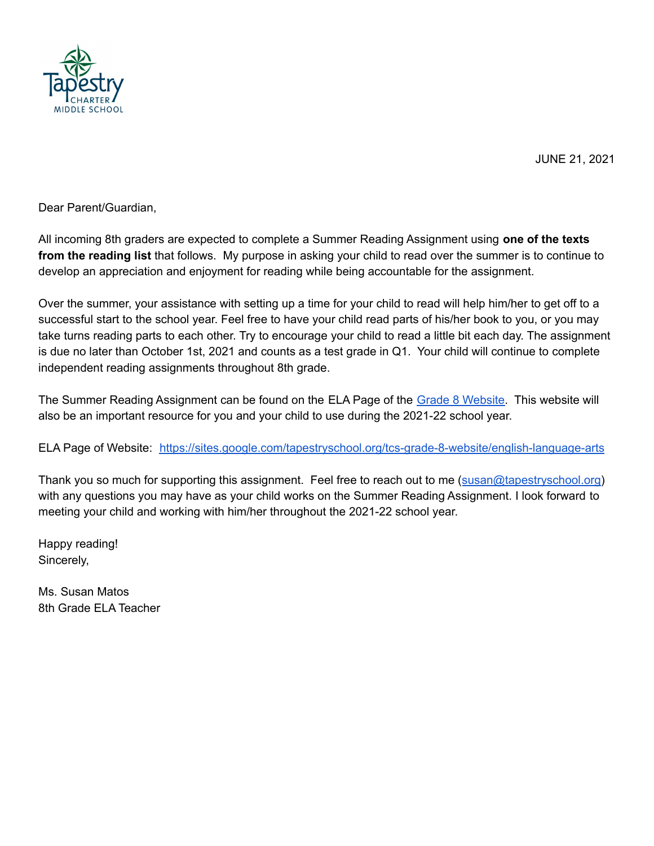

JUNE 21, 2021

Dear Parent/Guardian,

All incoming 8th graders are expected to complete a Summer Reading Assignment using **one of the texts from the reading list** that follows. My purpose in asking your child to read over the summer is to continue to develop an appreciation and enjoyment for reading while being accountable for the assignment.

Over the summer, your assistance with setting up a time for your child to read will help him/her to get off to a successful start to the school year. Feel free to have your child read parts of his/her book to you, or you may take turns reading parts to each other. Try to encourage your child to read a little bit each day. The assignment is due no later than October 1st, 2021 and counts as a test grade in Q1. Your child will continue to complete independent reading assignments throughout 8th grade.

The Summer Reading Assignment can be found on the ELA Page of the Grade 8 [Website.](https://sites.google.com/tapestryschool.org/tcs-grade-8-website/home) This website will also be an important resource for you and your child to use during the 2021-22 school year.

ELA Page of Website: <https://sites.google.com/tapestryschool.org/tcs-grade-8-website/english-language-arts>

Thank you so much for supporting this assignment. Feel free to reach out to me ([susan@tapestryschool.org\)](mailto:susan@tapestryschool.org) with any questions you may have as your child works on the Summer Reading Assignment. I look forward to meeting your child and working with him/her throughout the 2021-22 school year.

Happy reading! Sincerely,

Ms. Susan Matos 8th Grade ELA Teacher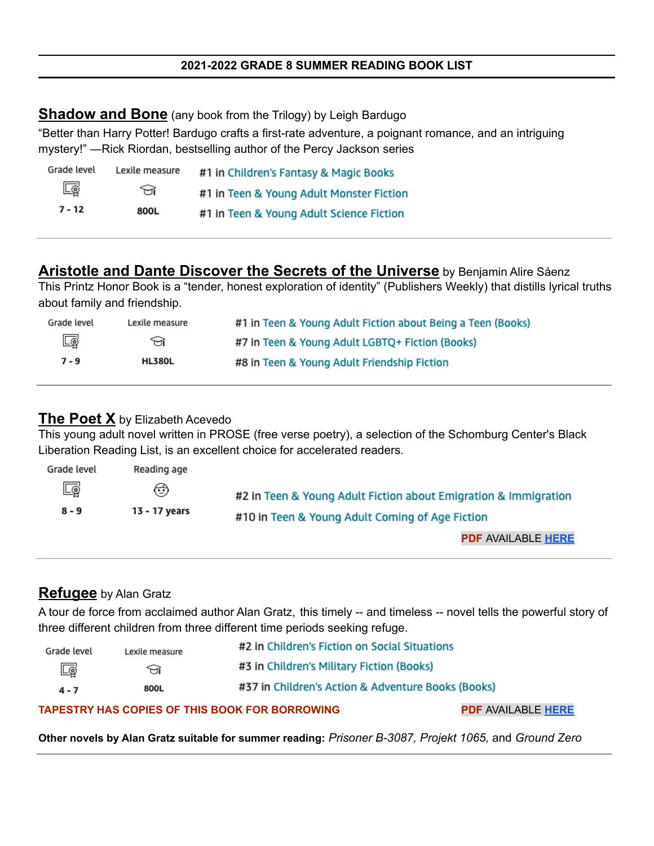# **Shadow and Bone** (any book from the Trilogy) by Leigh Bardugo

"Better than Harry Potter! Bardugo crafts a first-rate adventure, a poignant romance, and an intriguing mystery!" ―Rick Riordan, bestselling author of the Percy Jackson series

| Grade level | Lexile measure | #1 in Children's Fantasy & Magic Books   |  |
|-------------|----------------|------------------------------------------|--|
| $\Box$      | ନ∩             | #1 in Teen & Young Adult Monster Fiction |  |
| $7 - 12$    | 800L           | #1 in Teen & Young Adult Science Fiction |  |

# **Aristotle and Dante Discover the Secrets of the Universe** by Benjamin Alire Sáenz

This Printz Honor Book is a "tender, honest exploration of identity" (Publishers Weekly) that distills lyrical truths about family and friendship.

| Grade level | Lexile measure | #1 in Teen & Young Adult Fiction about Being a Teen (Books) |
|-------------|----------------|-------------------------------------------------------------|
| 國           | প্র            | #7 in Teen & Young Adult LGBTQ+ Fiction (Books)             |
| $7 - 9$     | <b>HL380L</b>  | #8 in Teen & Young Adult Friendship Fiction                 |

# **The Poet X** by Elizabeth Acevedo

This young adult novel written in PROSE (free verse poetry), a selection of the Schomburg Center's Black Liberation Reading List, is an excellent choice for accelerated readers.

| Grade level       | Reading age        |                                                                                                                    |
|-------------------|--------------------|--------------------------------------------------------------------------------------------------------------------|
| $\Box$ @<br>8 - 9 | ↔<br>13 - 17 years | #2 in Teen & Young Adult Fiction about Emigration & Immigration<br>#10 in Teen & Young Adult Coming of Age Fiction |
|                   |                    | PDF AVAILABLE HERE                                                                                                 |

# **Refugee** by Alan Gratz

A tour de force from acclaimed author Alan Gratz, this timely -- and timeless -- novel tells the powerful story of three different children from three different time periods seeking refuge.

| Grade level | Lexile measure | #2 in Children's Fiction on Social Situations      |
|-------------|----------------|----------------------------------------------------|
| $\Box$      | ਜ਼             | #3 in Children's Military Fiction (Books)          |
| $4 - 7$     | 800L           | #37 in Children's Action & Adventure Books (Books) |

#### **TAPESTRY HAS COPIES OF THIS BOOK FOR BORROWING PDF** AVAILABLE **[HERE](http://www.summithill.org/documents/teacher_documents/176/1587153047refugee_-_alan_gratz.pdftext.pdf)**

**Other novels by Alan Gratz suitable for summer reading:** *Prisoner B-3087, Projekt 1065,* and *Ground Zero*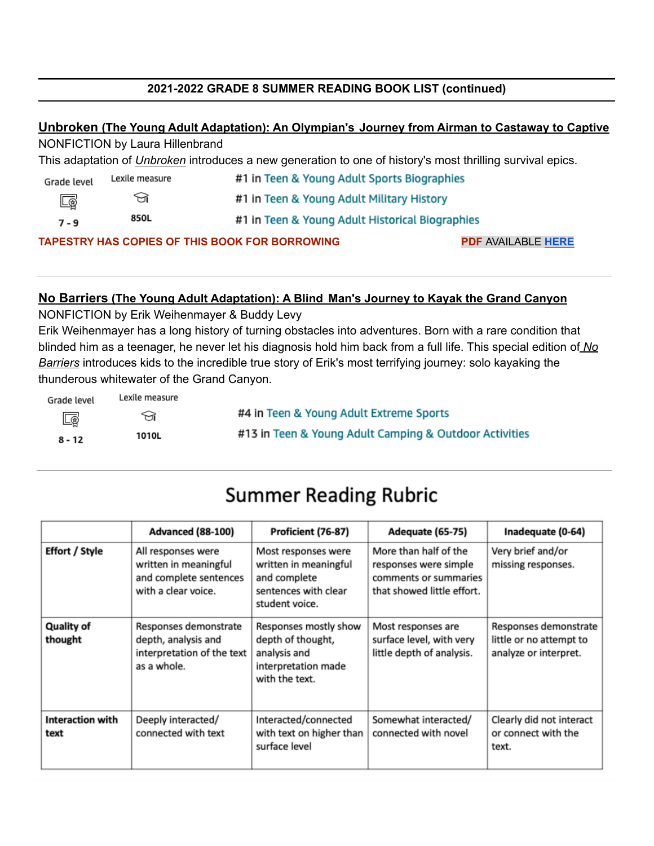# **2021-2022 GRADE 8 SUMMER READING BOOK LIST (continued)**

# **Unbroken (The Young Adult Adaptation): An Olympian's Journey from Airman to Castaway to Captive**

NONFICTION by Laura Hillenbrand

This adaptation of *Unbroken* introduces a new generation to one of history's most thrilling survival epics.

| Grade level                                                                        | Lexile measure | #1 in Teen & Young Adult Sports Biographies     |  |
|------------------------------------------------------------------------------------|----------------|-------------------------------------------------|--|
| Lø                                                                                 | তা             | #1 in Teen & Young Adult Military History       |  |
| $7 - 9$                                                                            | 850L           | #1 in Teen & Young Adult Historical Biographies |  |
| <b>TAPESTRY HAS COPIES OF THIS BOOK FOR BORROWING</b><br><b>PDF AVAILABLE HERE</b> |                |                                                 |  |

#### **No Barriers (The Young Adult Adaptation): A Blind Man's Journey to Kayak the Grand Canyon**

NONFICTION by Erik Weihenmayer & Buddy Levy

Erik Weihenmayer has a long history of turning obstacles into adventures. Born with a rare condition that blinded him as a teenager, he never let his diagnosis hold him back from a full life. This special edition of *No Barriers* introduces kids to the incredible true story of Erik's most terrifying journey: solo kayaking the thunderous whitewater of the Grand Canyon.

| Grade level | Lexile measure |                                                        |
|-------------|----------------|--------------------------------------------------------|
| <u>Lø</u>   | ਜ਼             | #4 in Teen & Young Adult Extreme Sports                |
| $8 - 12$    | 1010L          | #13 in Teen & Young Adult Camping & Outdoor Activities |

# **Summer Reading Rubric**

|                                 | <b>Advanced (88-100)</b>                                                                     | Proficient (76-87)                                                                                     | Adequate (65-75)                                                                                      | Inadequate (0-64)                                                         |
|---------------------------------|----------------------------------------------------------------------------------------------|--------------------------------------------------------------------------------------------------------|-------------------------------------------------------------------------------------------------------|---------------------------------------------------------------------------|
| <b>Effort / Style</b>           | All responses were<br>written in meaningful<br>and complete sentences<br>with a clear voice. | Most responses were<br>written in meaningful<br>and complete<br>sentences with clear<br>student voice. | More than half of the<br>responses were simple<br>comments or summaries<br>that showed little effort. | Very brief and/or<br>missing responses.                                   |
| <b>Quality of</b><br>thought    | Responses demonstrate<br>depth, analysis and<br>interpretation of the text<br>as a whole.    | Responses mostly show<br>depth of thought,<br>analysis and<br>interpretation made<br>with the text.    | Most responses are<br>surface level, with very<br>little depth of analysis.                           | Responses demonstrate<br>little or no attempt to<br>analyze or interpret. |
| <b>Interaction with</b><br>text | Deeply interacted/<br>connected with text                                                    | Interacted/connected<br>with text on higher than<br>surface level                                      | Somewhat interacted/<br>connected with novel                                                          | Clearly did not interact<br>or connect with the<br>text.                  |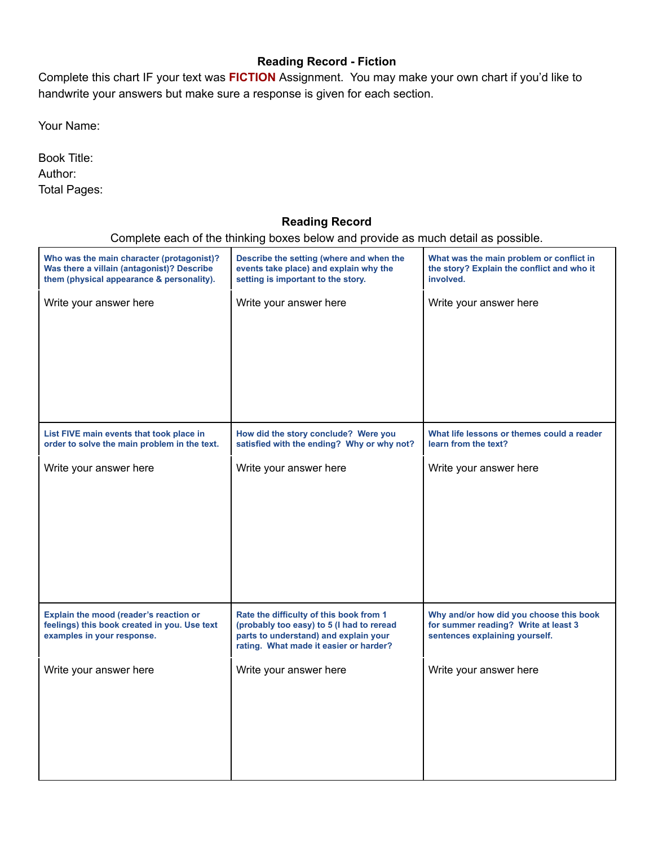# **Reading Record - Fiction**

Complete this chart IF your text was **FICTION** Assignment. You may make your own chart if you'd like to handwrite your answers but make sure a response is given for each section.

Your Name:

Book Title: Author: Total Pages:

# **Reading Record**

Complete each of the thinking boxes below and provide as much detail as possible.

| Who was the main character (protagonist)?<br>Was there a villain (antagonist)? Describe<br>them (physical appearance & personality). | Describe the setting (where and when the<br>events take place) and explain why the<br>setting is important to the story.                                                | What was the main problem or conflict in<br>the story? Explain the conflict and who it<br>involved.               |
|--------------------------------------------------------------------------------------------------------------------------------------|-------------------------------------------------------------------------------------------------------------------------------------------------------------------------|-------------------------------------------------------------------------------------------------------------------|
| Write your answer here                                                                                                               | Write your answer here                                                                                                                                                  | Write your answer here                                                                                            |
| List FIVE main events that took place in<br>order to solve the main problem in the text.                                             | How did the story conclude? Were you<br>satisfied with the ending? Why or why not?                                                                                      | What life lessons or themes could a reader<br>learn from the text?                                                |
| Write your answer here                                                                                                               | Write your answer here                                                                                                                                                  | Write your answer here                                                                                            |
| Explain the mood (reader's reaction or<br>feelings) this book created in you. Use text<br>examples in your response.                 | Rate the difficulty of this book from 1<br>(probably too easy) to 5 (I had to reread<br>parts to understand) and explain your<br>rating. What made it easier or harder? | Why and/or how did you choose this book<br>for summer reading? Write at least 3<br>sentences explaining yourself. |
| Write your answer here                                                                                                               | Write your answer here                                                                                                                                                  | Write your answer here                                                                                            |